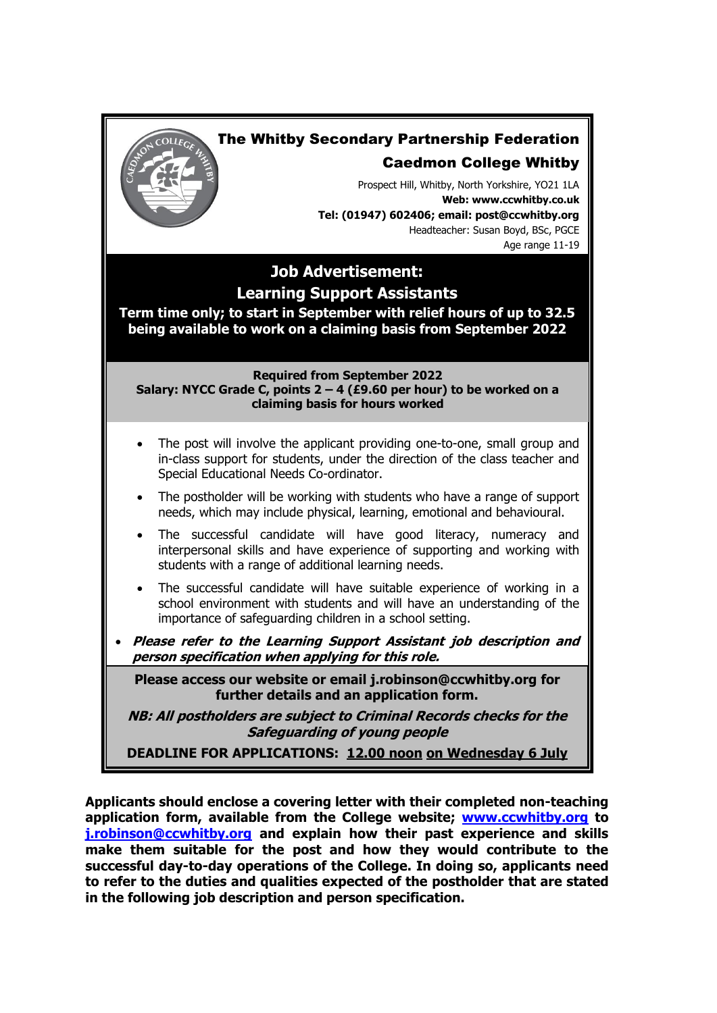

**Applicants should enclose a covering letter with their completed non-teaching application form, available from the College website; [www.ccwhitby.org](http://www.ccwhitby.org/) to [j.robinson@ccwhitby.org](mailto:j.robinson@ccwhitby.org) and explain how their past experience and skills make them suitable for the post and how they would contribute to the successful day-to-day operations of the College. In doing so, applicants need to refer to the duties and qualities expected of the postholder that are stated in the following job description and person specification.**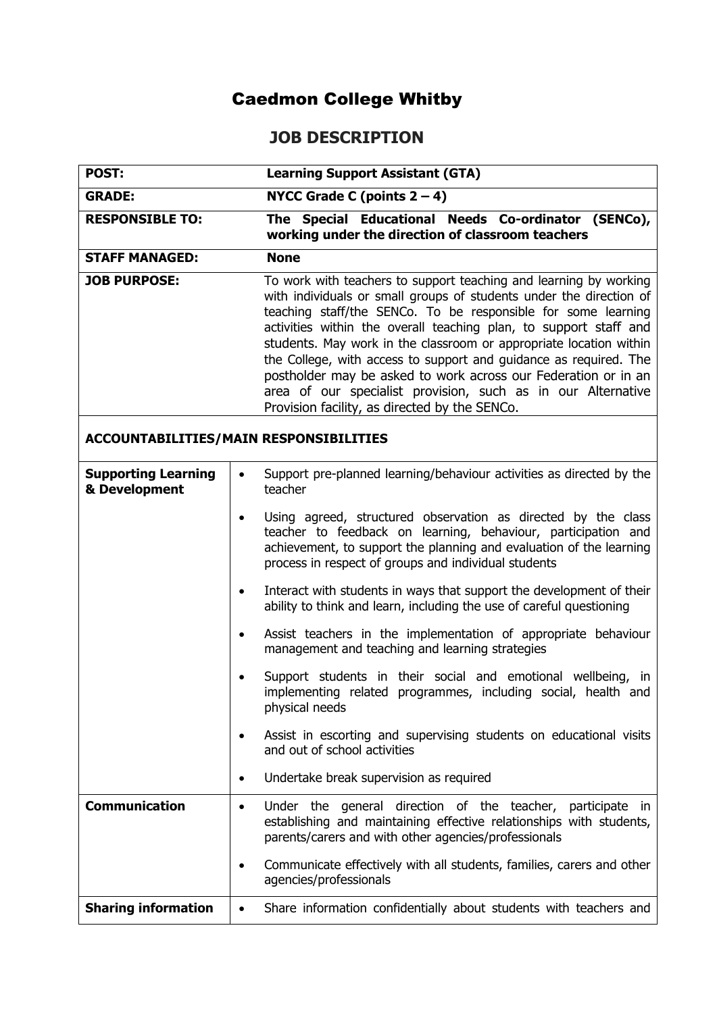## Caedmon College Whitby

## **JOB DESCRIPTION**

| POST:                                         | <b>Learning Support Assistant (GTA)</b>                                                                                                                                                                                                                                                                                                                                                                                                                                                                                                                                                                      |  |  |  |  |  |
|-----------------------------------------------|--------------------------------------------------------------------------------------------------------------------------------------------------------------------------------------------------------------------------------------------------------------------------------------------------------------------------------------------------------------------------------------------------------------------------------------------------------------------------------------------------------------------------------------------------------------------------------------------------------------|--|--|--|--|--|
| <b>GRADE:</b>                                 | NYCC Grade C (points $2-4$ )                                                                                                                                                                                                                                                                                                                                                                                                                                                                                                                                                                                 |  |  |  |  |  |
| <b>RESPONSIBLE TO:</b>                        | The Special Educational Needs Co-ordinator (SENCo),                                                                                                                                                                                                                                                                                                                                                                                                                                                                                                                                                          |  |  |  |  |  |
|                                               | working under the direction of classroom teachers                                                                                                                                                                                                                                                                                                                                                                                                                                                                                                                                                            |  |  |  |  |  |
| <b>STAFF MANAGED:</b>                         | <b>None</b>                                                                                                                                                                                                                                                                                                                                                                                                                                                                                                                                                                                                  |  |  |  |  |  |
| <b>JOB PURPOSE:</b>                           | To work with teachers to support teaching and learning by working<br>with individuals or small groups of students under the direction of<br>teaching staff/the SENCo. To be responsible for some learning<br>activities within the overall teaching plan, to support staff and<br>students. May work in the classroom or appropriate location within<br>the College, with access to support and guidance as required. The<br>postholder may be asked to work across our Federation or in an<br>area of our specialist provision, such as in our Alternative<br>Provision facility, as directed by the SENCo. |  |  |  |  |  |
| <b>ACCOUNTABILITIES/MAIN RESPONSIBILITIES</b> |                                                                                                                                                                                                                                                                                                                                                                                                                                                                                                                                                                                                              |  |  |  |  |  |
| <b>Supporting Learning</b><br>& Development   | Support pre-planned learning/behaviour activities as directed by the<br>$\bullet$<br>teacher                                                                                                                                                                                                                                                                                                                                                                                                                                                                                                                 |  |  |  |  |  |
|                                               | Using agreed, structured observation as directed by the class<br>teacher to feedback on learning, behaviour, participation and<br>achievement, to support the planning and evaluation of the learning<br>process in respect of groups and individual students                                                                                                                                                                                                                                                                                                                                                |  |  |  |  |  |
|                                               | Interact with students in ways that support the development of their<br>$\bullet$<br>ability to think and learn, including the use of careful questioning                                                                                                                                                                                                                                                                                                                                                                                                                                                    |  |  |  |  |  |
|                                               | Assist teachers in the implementation of appropriate behaviour<br>$\bullet$<br>management and teaching and learning strategies                                                                                                                                                                                                                                                                                                                                                                                                                                                                               |  |  |  |  |  |
|                                               | Support students in their social and emotional wellbeing, in<br>implementing related programmes, including social, health and<br>physical needs                                                                                                                                                                                                                                                                                                                                                                                                                                                              |  |  |  |  |  |
|                                               | Assist in escorting and supervising students on educational visits<br>$\bullet$<br>and out of school activities                                                                                                                                                                                                                                                                                                                                                                                                                                                                                              |  |  |  |  |  |
|                                               | Undertake break supervision as required<br>$\bullet$                                                                                                                                                                                                                                                                                                                                                                                                                                                                                                                                                         |  |  |  |  |  |
| <b>Communication</b>                          | Under the general direction of the teacher,<br>participate<br>ın<br>$\bullet$<br>establishing and maintaining effective relationships with students,<br>parents/carers and with other agencies/professionals                                                                                                                                                                                                                                                                                                                                                                                                 |  |  |  |  |  |
|                                               | Communicate effectively with all students, families, carers and other<br>٠<br>agencies/professionals                                                                                                                                                                                                                                                                                                                                                                                                                                                                                                         |  |  |  |  |  |
| <b>Sharing information</b>                    | Share information confidentially about students with teachers and<br>$\bullet$                                                                                                                                                                                                                                                                                                                                                                                                                                                                                                                               |  |  |  |  |  |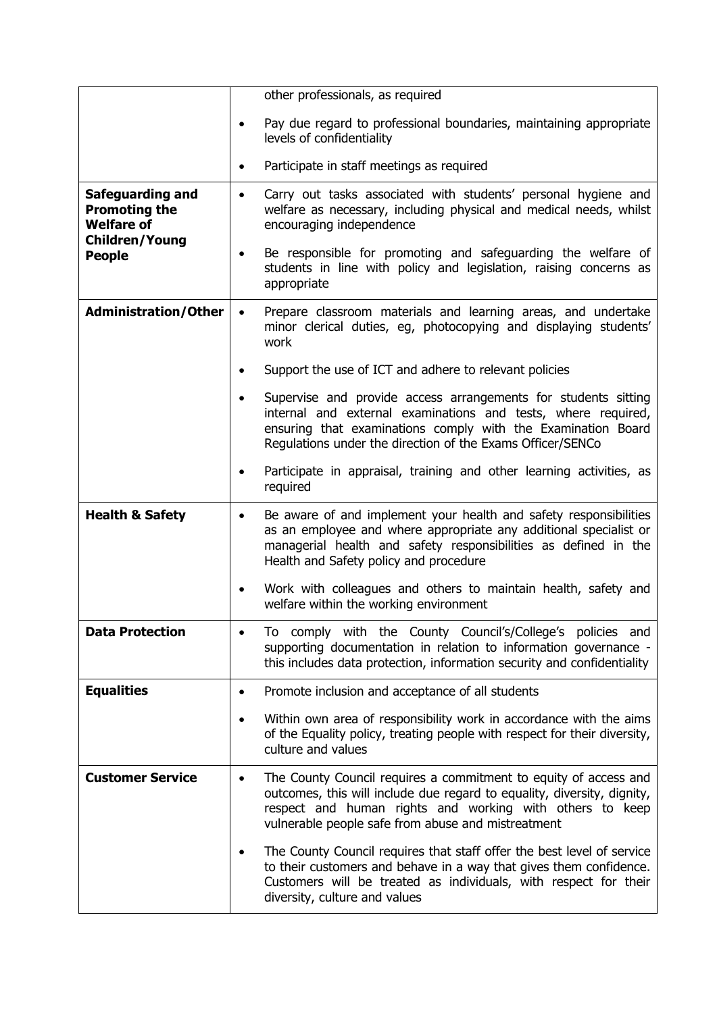|                                                                                        | other professionals, as required                                                                                                                                                                                                                                           |  |  |  |
|----------------------------------------------------------------------------------------|----------------------------------------------------------------------------------------------------------------------------------------------------------------------------------------------------------------------------------------------------------------------------|--|--|--|
|                                                                                        | Pay due regard to professional boundaries, maintaining appropriate<br>levels of confidentiality                                                                                                                                                                            |  |  |  |
|                                                                                        | Participate in staff meetings as required                                                                                                                                                                                                                                  |  |  |  |
| Safeguarding and<br><b>Promoting the</b><br><b>Welfare of</b><br><b>Children/Young</b> | Carry out tasks associated with students' personal hygiene and<br>$\bullet$<br>welfare as necessary, including physical and medical needs, whilst<br>encouraging independence                                                                                              |  |  |  |
| <b>People</b>                                                                          | Be responsible for promoting and safeguarding the welfare of<br>٠<br>students in line with policy and legislation, raising concerns as<br>appropriate                                                                                                                      |  |  |  |
| <b>Administration/Other</b>                                                            | Prepare classroom materials and learning areas, and undertake<br>$\bullet$<br>minor clerical duties, eg, photocopying and displaying students'<br>work                                                                                                                     |  |  |  |
|                                                                                        | Support the use of ICT and adhere to relevant policies                                                                                                                                                                                                                     |  |  |  |
|                                                                                        | Supervise and provide access arrangements for students sitting<br>$\bullet$<br>internal and external examinations and tests, where required,<br>ensuring that examinations comply with the Examination Board<br>Regulations under the direction of the Exams Officer/SENCo |  |  |  |
|                                                                                        | Participate in appraisal, training and other learning activities, as<br>required                                                                                                                                                                                           |  |  |  |
| <b>Health &amp; Safety</b>                                                             | Be aware of and implement your health and safety responsibilities<br>$\bullet$<br>as an employee and where appropriate any additional specialist or<br>managerial health and safety responsibilities as defined in the<br>Health and Safety policy and procedure           |  |  |  |
|                                                                                        | Work with colleagues and others to maintain health, safety and<br>٠<br>welfare within the working environment                                                                                                                                                              |  |  |  |
| <b>Data Protection</b>                                                                 | To comply with the County Council's/College's policies and<br>supporting documentation in relation to information governance -<br>this includes data protection, information security and confidentiality                                                                  |  |  |  |
| <b>Equalities</b>                                                                      | Promote inclusion and acceptance of all students<br>$\bullet$                                                                                                                                                                                                              |  |  |  |
|                                                                                        | Within own area of responsibility work in accordance with the aims<br>$\bullet$<br>of the Equality policy, treating people with respect for their diversity,<br>culture and values                                                                                         |  |  |  |
| <b>Customer Service</b>                                                                | The County Council requires a commitment to equity of access and<br>$\bullet$<br>outcomes, this will include due regard to equality, diversity, dignity,<br>respect and human rights and working with others to keep<br>vulnerable people safe from abuse and mistreatment |  |  |  |
|                                                                                        | The County Council requires that staff offer the best level of service<br>to their customers and behave in a way that gives them confidence.<br>Customers will be treated as individuals, with respect for their<br>diversity, culture and values                          |  |  |  |